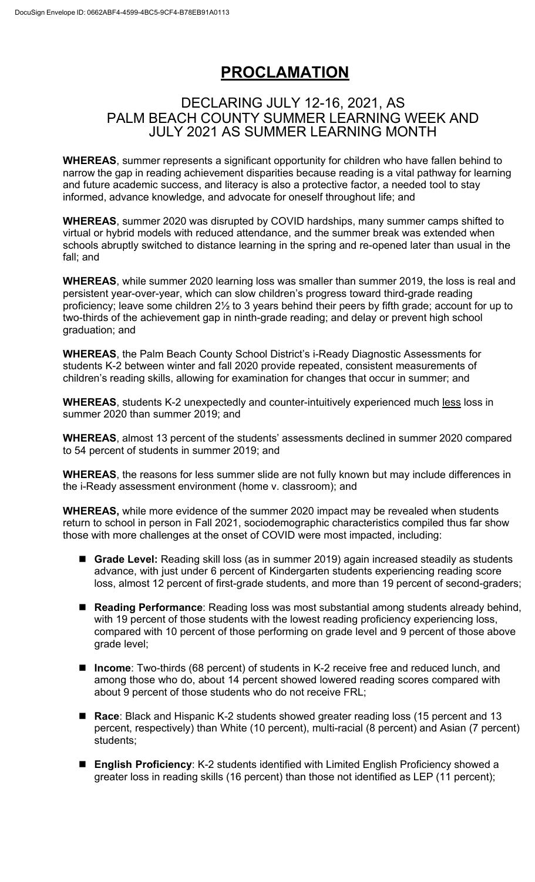## **PROCLAMATION**

## DECLARING JULY 12-16, 2021, AS PALM BEACH COUNTY SUMMER LEARNING WEEK AND JULY 2021 AS SUMMER LEARNING MONTH

 **WHEREAS**, summer represents a significant opportunity for children who have fallen behind to narrow the gap in reading achievement disparities because reading is a vital pathway for learning and future academic success, and literacy is also a protective factor, a needed tool to stay informed, advance knowledge, and advocate for oneself throughout life; and

 **WHEREAS**, summer 2020 was disrupted by COVID hardships, many summer camps shifted to virtual or hybrid models with reduced attendance, and the summer break was extended when schools abruptly switched to distance learning in the spring and re-opened later than usual in the fall; and

 **WHEREAS**, while summer 2020 learning loss was smaller than summer 2019, the loss is real and persistent year-over-year, which can slow children's progress toward third-grade reading proficiency; leave some children 2½ to 3 years behind their peers by fifth grade; account for up to two-thirds of the achievement gap in ninth-grade reading; and delay or prevent high school graduation; and

 **WHEREAS**, the Palm Beach County School District's i-Ready Diagnostic Assessments for students K-2 between winter and fall 2020 provide repeated, consistent measurements of children's reading skills, allowing for examination for changes that occur in summer; and

 **WHEREAS**, students K-2 unexpectedly and counter-intuitively experienced much less loss in summer 2020 than summer 2019; and

 **WHEREAS**, almost 13 percent of the students' assessments declined in summer 2020 compared to 54 percent of students in summer 2019; and

 **WHEREAS**, the reasons for less summer slide are not fully known but may include differences in the i-Ready assessment environment (home v. classroom); and

 **WHEREAS,** while more evidence of the summer 2020 impact may be revealed when students return to school in person in Fall 2021, sociodemographic characteristics compiled thus far show those with more challenges at the onset of COVID were most impacted, including:

- **Grade Level:** Reading skill loss (as in summer 2019) again increased steadily as students advance, with just under 6 percent of Kindergarten students experiencing reading score loss, almost 12 percent of first-grade students, and more than 19 percent of second-graders;
- • **Reading Performance**: Reading loss was most substantial among students already behind, with 19 percent of those students with the lowest reading proficiency experiencing loss, compared with 10 percent of those performing on grade level and 9 percent of those above grade level;
- **Income**: Two-thirds (68 percent) of students in K-2 receive free and reduced lunch, and among those who do, about 14 percent showed lowered reading scores compared with about 9 percent of those students who do not receive FRL;
- **Race**: Black and Hispanic K-2 students showed greater reading loss (15 percent and 13 percent, respectively) than White (10 percent), multi-racial (8 percent) and Asian (7 percent) students;
- greater loss in reading skills (16 percent) than those not identified as LEP (11 percent); • **English Proficiency**: K-2 students identified with Limited English Proficiency showed a